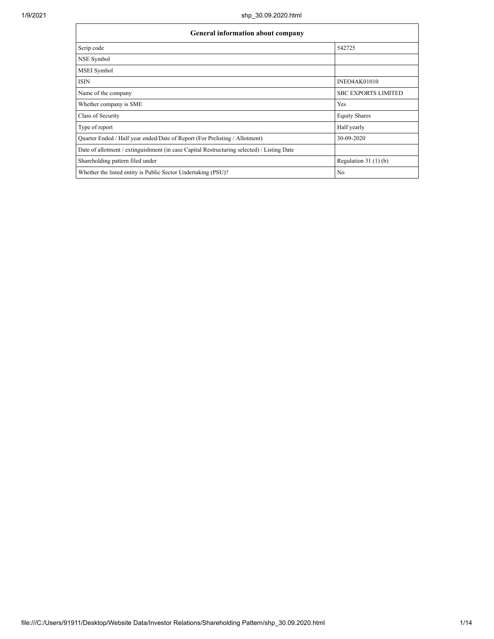| <b>General information about company</b>                                                   |                            |  |  |  |  |  |  |
|--------------------------------------------------------------------------------------------|----------------------------|--|--|--|--|--|--|
| Scrip code                                                                                 | 542725                     |  |  |  |  |  |  |
| NSE Symbol                                                                                 |                            |  |  |  |  |  |  |
| MSEI Symbol                                                                                |                            |  |  |  |  |  |  |
| <b>ISIN</b>                                                                                | <b>INEO4AK01010</b>        |  |  |  |  |  |  |
| Name of the company                                                                        | <b>SBC EXPORTS LIMITED</b> |  |  |  |  |  |  |
| Whether company is SME                                                                     | Yes                        |  |  |  |  |  |  |
| Class of Security                                                                          | <b>Equity Shares</b>       |  |  |  |  |  |  |
| Type of report                                                                             | Half yearly                |  |  |  |  |  |  |
| Quarter Ended / Half year ended/Date of Report (For Prelisting / Allotment)                | 30-09-2020                 |  |  |  |  |  |  |
| Date of allotment / extinguishment (in case Capital Restructuring selected) / Listing Date |                            |  |  |  |  |  |  |
| Shareholding pattern filed under                                                           | Regulation $31(1)(b)$      |  |  |  |  |  |  |
| Whether the listed entity is Public Sector Undertaking (PSU)?                              | No                         |  |  |  |  |  |  |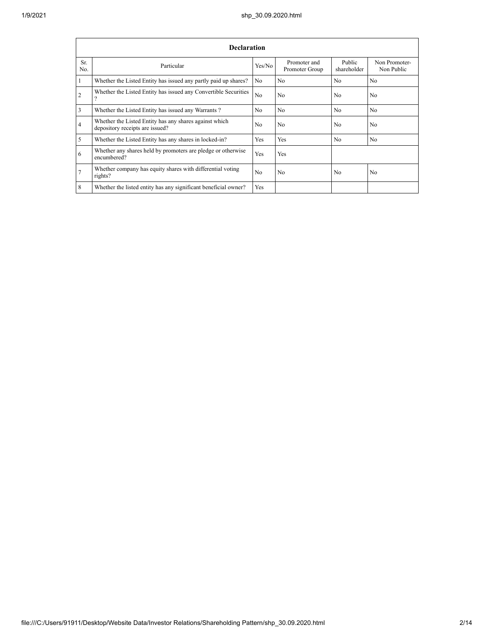|                                                                            | <b>Declaration</b>                                                                        |                |                                |                       |                             |  |  |  |  |
|----------------------------------------------------------------------------|-------------------------------------------------------------------------------------------|----------------|--------------------------------|-----------------------|-----------------------------|--|--|--|--|
| Sr.<br>No.                                                                 | Particular                                                                                | Yes/No         | Promoter and<br>Promoter Group | Public<br>shareholder | Non Promoter-<br>Non Public |  |  |  |  |
| $\overline{1}$                                                             | Whether the Listed Entity has issued any partly paid up shares?                           | No.            | N <sub>0</sub>                 | N <sub>0</sub>        | N <sub>0</sub>              |  |  |  |  |
| $\overline{2}$                                                             | Whether the Listed Entity has issued any Convertible Securities                           | N <sub>o</sub> | No                             | N <sub>0</sub>        | N <sub>0</sub>              |  |  |  |  |
| $\overline{3}$                                                             | Whether the Listed Entity has issued any Warrants?                                        | No             | No                             | N <sub>0</sub>        | N <sub>0</sub>              |  |  |  |  |
| $\overline{4}$                                                             | Whether the Listed Entity has any shares against which<br>depository receipts are issued? |                | No                             | No                    | N <sub>o</sub>              |  |  |  |  |
| $\overline{5}$                                                             | Whether the Listed Entity has any shares in locked-in?                                    | Yes            | Yes                            | N <sub>o</sub>        | N <sub>0</sub>              |  |  |  |  |
| 6                                                                          | Whether any shares held by promoters are pledge or otherwise<br>encumbered?               | Yes            | Yes                            |                       |                             |  |  |  |  |
| Whether company has equity shares with differential voting<br>7<br>rights? |                                                                                           | N <sub>0</sub> | No                             | N <sub>0</sub>        | N <sub>0</sub>              |  |  |  |  |
| 8                                                                          | Whether the listed entity has any significant beneficial owner?                           | Yes            |                                |                       |                             |  |  |  |  |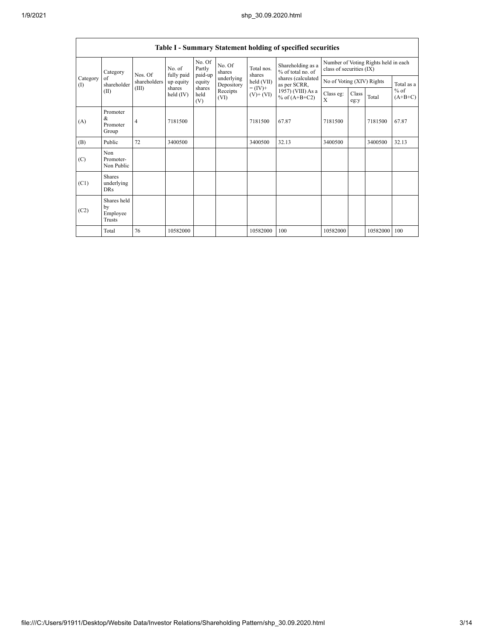|                       | <b>Table I - Summary Statement holding of specified securities</b> |                                |                       |                             |                              |                                      |                                                                              |                                                                  |       |                     |            |
|-----------------------|--------------------------------------------------------------------|--------------------------------|-----------------------|-----------------------------|------------------------------|--------------------------------------|------------------------------------------------------------------------------|------------------------------------------------------------------|-------|---------------------|------------|
| Category<br>of<br>(1) | Category                                                           | Nos. Of                        | No. of<br>fully paid  | No. Of<br>Partly<br>paid-up | No. Of<br>shares             | Total nos.<br>shares                 | Shareholding as a<br>% of total no. of<br>shares (calculated<br>as per SCRR, | Number of Voting Rights held in each<br>class of securities (IX) |       |                     |            |
|                       | shareholder                                                        | shareholders                   | up equity             | equity                      | underlying<br>Depository     | held (VII)                           |                                                                              | No of Voting (XIV) Rights                                        |       |                     | Total as a |
|                       | (II)                                                               | (III)<br>shares<br>held $(IV)$ | shares<br>held<br>(V) | Receipts<br>(VI)            | $= (IV) +$<br>$(V)$ + $(VI)$ | 1957) (VIII) As a<br>% of $(A+B+C2)$ | Class eg:<br>X                                                               | Class<br>eg:y                                                    | Total | $%$ of<br>$(A+B+C)$ |            |
| (A)                   | Promoter<br>&<br>Promoter<br>Group                                 | $\overline{4}$                 | 7181500               |                             |                              | 7181500                              | 67.87                                                                        | 7181500                                                          |       | 7181500             | 67.87      |
| (B)                   | Public                                                             | 72                             | 3400500               |                             |                              | 3400500                              | 32.13                                                                        | 3400500                                                          |       | 3400500             | 32.13      |
| (C)                   | Non<br>Promoter-<br>Non Public                                     |                                |                       |                             |                              |                                      |                                                                              |                                                                  |       |                     |            |
| (C1)                  | <b>Shares</b><br>underlying<br><b>DRs</b>                          |                                |                       |                             |                              |                                      |                                                                              |                                                                  |       |                     |            |
| (C2)                  | Shares held<br>by<br>Employee<br>Trusts                            |                                |                       |                             |                              |                                      |                                                                              |                                                                  |       |                     |            |
|                       | Total                                                              | 76                             | 10582000              |                             |                              | 10582000                             | 100                                                                          | 10582000                                                         |       | 10582000            | 100        |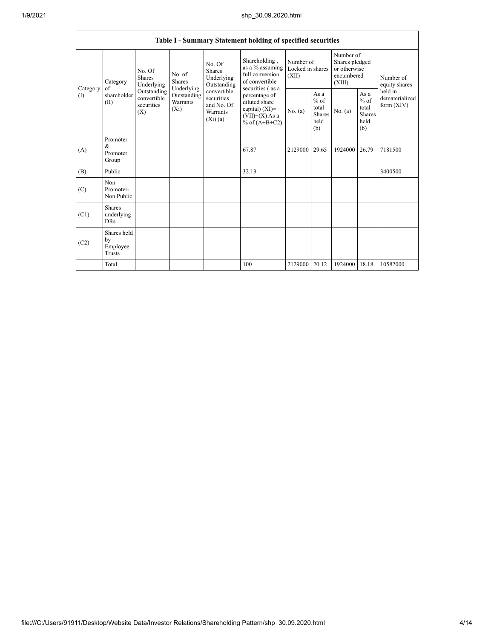|                    |                                           |                                                                                          |                                                                      |                                                                                                                           | Table I - Summary Statement holding of specified securities                                                                                                                          |                                        |                                                  |                                                                     |                                                         |                                           |
|--------------------|-------------------------------------------|------------------------------------------------------------------------------------------|----------------------------------------------------------------------|---------------------------------------------------------------------------------------------------------------------------|--------------------------------------------------------------------------------------------------------------------------------------------------------------------------------------|----------------------------------------|--------------------------------------------------|---------------------------------------------------------------------|---------------------------------------------------------|-------------------------------------------|
| Category<br>$($ I) | Category<br>of<br>shareholder<br>(II)     | No. Of<br><b>Shares</b><br>Underlying<br>Outstanding<br>convertible<br>securities<br>(X) | No. of<br>Shares<br>Underlying<br>Outstanding<br>Warrants<br>$(X_i)$ | No. Of<br><b>Shares</b><br>Underlying<br>Outstanding<br>convertible<br>securities<br>and No. Of<br>Warrants<br>$(X_i)(a)$ | Shareholding,<br>as a % assuming<br>full conversion<br>of convertible<br>securities (as a<br>percentage of<br>diluted share<br>capital) (XI)=<br>$(VII)+(X)$ As a<br>% of $(A+B+C2)$ | Number of<br>Locked in shares<br>(XII) |                                                  | Number of<br>Shares pledged<br>or otherwise<br>encumbered<br>(XIII) |                                                         | Number of<br>equity shares                |
|                    |                                           |                                                                                          |                                                                      |                                                                                                                           |                                                                                                                                                                                      | No. (a)                                | As a<br>$%$ of<br>total<br>Shares<br>held<br>(b) | No. (a)                                                             | As a<br>$%$ of<br>total<br><b>Shares</b><br>held<br>(b) | held in<br>dematerialized<br>form $(XIV)$ |
| (A)                | Promoter<br>&<br>Promoter<br>Group        |                                                                                          |                                                                      |                                                                                                                           | 67.87                                                                                                                                                                                | 2129000 29.65                          |                                                  | 1924000 26.79                                                       |                                                         | 7181500                                   |
| (B)                | Public                                    |                                                                                          |                                                                      |                                                                                                                           | 32.13                                                                                                                                                                                |                                        |                                                  |                                                                     |                                                         | 3400500                                   |
| (C)                | Non<br>Promoter-<br>Non Public            |                                                                                          |                                                                      |                                                                                                                           |                                                                                                                                                                                      |                                        |                                                  |                                                                     |                                                         |                                           |
| (C1)               | <b>Shares</b><br>underlying<br><b>DRs</b> |                                                                                          |                                                                      |                                                                                                                           |                                                                                                                                                                                      |                                        |                                                  |                                                                     |                                                         |                                           |
| (C2)               | Shares held<br>by<br>Employee<br>Trusts   |                                                                                          |                                                                      |                                                                                                                           |                                                                                                                                                                                      |                                        |                                                  |                                                                     |                                                         |                                           |
|                    | Total                                     |                                                                                          |                                                                      |                                                                                                                           | 100                                                                                                                                                                                  | 2129000 20.12                          |                                                  | 1924000                                                             | 18.18                                                   | 10582000                                  |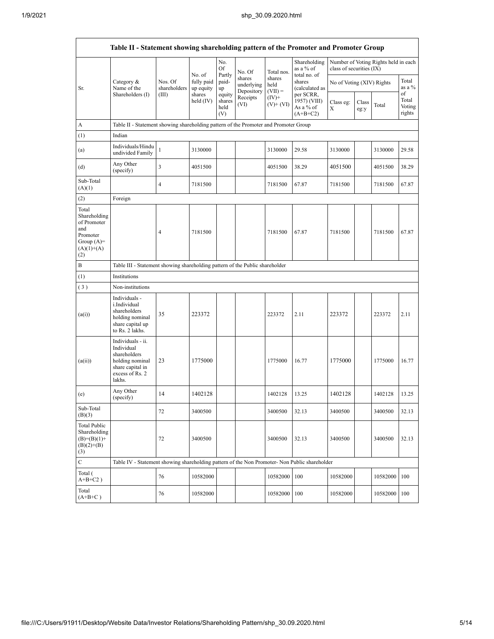|                                                                                                | Table II - Statement showing shareholding pattern of the Promoter and Promoter Group                                |                                  |                                                  |                                 |                                    |                             |                                                      |                           |               |                                      |                           |
|------------------------------------------------------------------------------------------------|---------------------------------------------------------------------------------------------------------------------|----------------------------------|--------------------------------------------------|---------------------------------|------------------------------------|-----------------------------|------------------------------------------------------|---------------------------|---------------|--------------------------------------|---------------------------|
|                                                                                                |                                                                                                                     |                                  | No. of                                           | No.<br>Of                       | No. Of                             | Total nos.                  | Shareholding<br>as a % of                            | class of securities (IX)  |               | Number of Voting Rights held in each |                           |
| Sr.                                                                                            | Category &<br>Name of the<br>Shareholders (I)                                                                       | Nos. Of<br>shareholders<br>(III) | fully paid<br>up equity<br>shares<br>held $(IV)$ | Partly<br>paid-<br>up           | shares<br>underlying<br>Depository | shares<br>held<br>$(VII) =$ | total no. of<br>shares<br>(calculated as             | No of Voting (XIV) Rights |               |                                      | Total<br>as a %<br>of     |
|                                                                                                |                                                                                                                     |                                  |                                                  | equity<br>shares<br>held<br>(V) | Receipts<br>(VI)                   | $(IV)^+$<br>$(V)$ + $(VI)$  | per SCRR,<br>1957) (VIII)<br>As a % of<br>$(A+B+C2)$ | Class eg:<br>X            | Class<br>eg:y | Total                                | Total<br>Voting<br>rights |
| А                                                                                              | Table II - Statement showing shareholding pattern of the Promoter and Promoter Group                                |                                  |                                                  |                                 |                                    |                             |                                                      |                           |               |                                      |                           |
| (1)                                                                                            | Indian                                                                                                              |                                  |                                                  |                                 |                                    |                             |                                                      |                           |               |                                      |                           |
| (a)                                                                                            | Individuals/Hindu<br>undivided Family                                                                               | $\mathbf{1}$                     | 3130000                                          |                                 |                                    | 3130000                     | 29.58                                                | 3130000                   |               | 3130000                              | 29.58                     |
| (d)                                                                                            | Any Other<br>(specify)                                                                                              | $\overline{\mathbf{3}}$          | 4051500                                          |                                 |                                    | 4051500                     | 38.29                                                | 4051500                   |               | 4051500                              | 38.29                     |
| Sub-Total<br>(A)(1)                                                                            |                                                                                                                     | $\overline{4}$                   | 7181500                                          |                                 |                                    | 7181500                     | 67.87                                                | 7181500                   |               | 7181500                              | 67.87                     |
| (2)                                                                                            | Foreign                                                                                                             |                                  |                                                  |                                 |                                    |                             |                                                      |                           |               |                                      |                           |
| Total<br>Shareholding<br>of Promoter<br>and<br>Promoter<br>Group $(A)=$<br>$(A)(1)+(A)$<br>(2) |                                                                                                                     | $\overline{4}$                   | 7181500                                          |                                 |                                    | 7181500                     | 67.87                                                | 7181500                   |               | 7181500                              | 67.87                     |
| B                                                                                              | Table III - Statement showing shareholding pattern of the Public shareholder                                        |                                  |                                                  |                                 |                                    |                             |                                                      |                           |               |                                      |                           |
| (1)                                                                                            | Institutions                                                                                                        |                                  |                                                  |                                 |                                    |                             |                                                      |                           |               |                                      |                           |
| (3)                                                                                            | Non-institutions                                                                                                    |                                  |                                                  |                                 |                                    |                             |                                                      |                           |               |                                      |                           |
| (a(i))                                                                                         | Individuals -<br>i.Individual<br>shareholders<br>holding nominal<br>share capital up<br>to Rs. 2 lakhs.             | 35                               | 223372                                           |                                 |                                    | 223372                      | 2.11                                                 | 223372                    |               | 223372                               | 2.11                      |
| (a(ii))                                                                                        | Individuals - ii.<br>Individual<br>shareholders<br>holding nominal<br>share capital in<br>excess of Rs. 2<br>lakhs. | 23                               | 1775000                                          |                                 |                                    | 1775000                     | 16.77                                                | 1775000                   |               | 1775000                              | 16.77                     |
| (e)                                                                                            | Any Other<br>(specify)                                                                                              | 14                               | 1402128                                          |                                 |                                    | 1402128                     | 13.25                                                | 1402128                   |               | 1402128                              | 13.25                     |
| Sub-Total<br>(B)(3)                                                                            |                                                                                                                     | 72                               | 3400500                                          |                                 |                                    | 3400500                     | 32.13                                                | 3400500                   |               | 3400500                              | 32.13                     |
| <b>Total Public</b><br>Shareholding<br>$(B)=(B)(1)+$<br>$(B)(2)+(B)$<br>(3)                    |                                                                                                                     | 72                               | 3400500                                          |                                 |                                    | 3400500                     | 32.13                                                | 3400500                   |               | 3400500                              | 32.13                     |
| $\mathbf C$                                                                                    | Table IV - Statement showing shareholding pattern of the Non Promoter- Non Public shareholder                       |                                  |                                                  |                                 |                                    |                             |                                                      |                           |               |                                      |                           |
| Total (<br>$A+B+C2$ )                                                                          |                                                                                                                     | 76                               | 10582000                                         |                                 |                                    | 10582000                    | 100                                                  | 10582000                  |               | 10582000                             | 100                       |
| Total<br>$(A+B+C)$                                                                             |                                                                                                                     | 76                               | 10582000                                         |                                 |                                    | 10582000                    | 100                                                  | 10582000                  |               | 10582000                             | 100                       |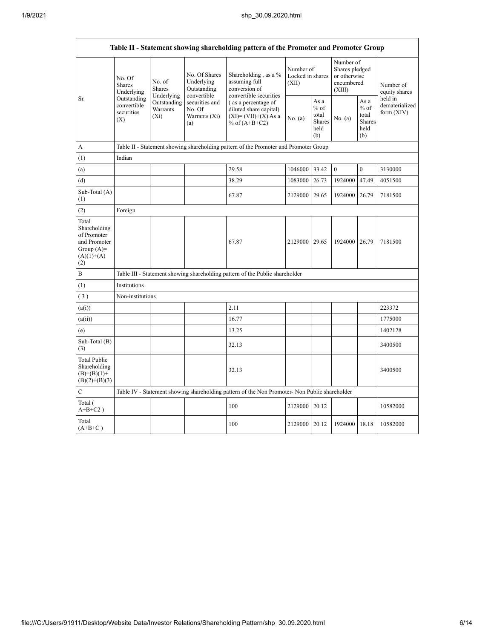$\mathsf{r}$ 

 $\overline{\phantom{0}}$ 

| Table II - Statement showing shareholding pattern of the Promoter and Promoter Group        |                                                                                |                                    |                                                           |                                                                                                                                                  |                                        |        |                                                                     |                                                  |                                           |
|---------------------------------------------------------------------------------------------|--------------------------------------------------------------------------------|------------------------------------|-----------------------------------------------------------|--------------------------------------------------------------------------------------------------------------------------------------------------|----------------------------------------|--------|---------------------------------------------------------------------|--------------------------------------------------|-------------------------------------------|
|                                                                                             | No. Of<br>No. of<br><b>Shares</b><br><b>Shares</b><br>Underlying<br>Underlying |                                    | No. Of Shares<br>Underlying<br>Outstanding<br>convertible | Shareholding, as a %<br>assuming full<br>conversion of<br>convertible securities                                                                 | Number of<br>Locked in shares<br>(XII) |        | Number of<br>Shares pledged<br>or otherwise<br>encumbered<br>(XIII) |                                                  | Number of<br>equity shares                |
| Sr.                                                                                         | Outstanding<br>convertible<br>securities<br>(X)                                | Outstanding<br>Warrants<br>$(X_i)$ | securities and<br>No. Of<br>Warrants (Xi)<br>(a)          | As a<br>(as a percentage of<br>$%$ of<br>diluted share capital)<br>total<br>$(XI) = (VII)+(X) As a$<br>No. (a)<br>% of $(A+B+C2)$<br>held<br>(b) |                                        | Shares | No. (a)                                                             | As a<br>$%$ of<br>total<br>Shares<br>held<br>(b) | held in<br>dematerialized<br>form $(XIV)$ |
| A                                                                                           |                                                                                |                                    |                                                           | Table II - Statement showing shareholding pattern of the Promoter and Promoter Group                                                             |                                        |        |                                                                     |                                                  |                                           |
| (1)                                                                                         | Indian                                                                         |                                    |                                                           |                                                                                                                                                  |                                        |        |                                                                     |                                                  |                                           |
| (a)                                                                                         |                                                                                |                                    |                                                           | 29.58                                                                                                                                            | 1046000                                | 33.42  | $\mathbf{0}$                                                        | $\mathbf{0}$                                     | 3130000                                   |
| (d)                                                                                         |                                                                                |                                    |                                                           | 38.29                                                                                                                                            | 1083000                                | 26.73  | 1924000                                                             | 47.49                                            | 4051500                                   |
| Sub-Total (A)<br>(1)                                                                        |                                                                                |                                    |                                                           | 67.87                                                                                                                                            | 2129000 29.65                          |        | 1924000 26.79                                                       |                                                  | 7181500                                   |
| (2)                                                                                         | Foreign                                                                        |                                    |                                                           |                                                                                                                                                  |                                        |        |                                                                     |                                                  |                                           |
| Total<br>Shareholding<br>of Promoter<br>and Promoter<br>Group $(A)=$<br>$(A)(1)+(A)$<br>(2) |                                                                                |                                    |                                                           | 67.87                                                                                                                                            | 2129000 29.65                          |        | 1924000 26.79                                                       |                                                  | 7181500                                   |
| B                                                                                           |                                                                                |                                    |                                                           | Table III - Statement showing shareholding pattern of the Public shareholder                                                                     |                                        |        |                                                                     |                                                  |                                           |
| (1)                                                                                         | Institutions                                                                   |                                    |                                                           |                                                                                                                                                  |                                        |        |                                                                     |                                                  |                                           |
| (3)                                                                                         | Non-institutions                                                               |                                    |                                                           |                                                                                                                                                  |                                        |        |                                                                     |                                                  |                                           |
| (a(i))                                                                                      |                                                                                |                                    |                                                           | 2.11                                                                                                                                             |                                        |        |                                                                     |                                                  | 223372                                    |
| (a(ii))                                                                                     |                                                                                |                                    |                                                           | 16.77                                                                                                                                            |                                        |        |                                                                     |                                                  | 1775000                                   |
| (e)                                                                                         |                                                                                |                                    |                                                           | 13.25                                                                                                                                            |                                        |        |                                                                     |                                                  | 1402128                                   |
| Sub-Total (B)<br>(3)                                                                        |                                                                                |                                    |                                                           | 32.13                                                                                                                                            |                                        |        |                                                                     |                                                  | 3400500                                   |
| <b>Total Public</b><br>Shareholding<br>$(B)=(B)(1)+$<br>$(B)(2)+(B)(3)$                     |                                                                                |                                    |                                                           | 32.13                                                                                                                                            |                                        |        |                                                                     |                                                  | 3400500                                   |
| C                                                                                           |                                                                                |                                    |                                                           | Table IV - Statement showing shareholding pattern of the Non Promoter- Non Public shareholder                                                    |                                        |        |                                                                     |                                                  |                                           |
| Total (<br>$A+B+C2$ )                                                                       |                                                                                |                                    |                                                           | 100                                                                                                                                              | 2129000 20.12                          |        |                                                                     |                                                  | 10582000                                  |
| Total<br>$(A+B+C)$                                                                          |                                                                                |                                    |                                                           | 100                                                                                                                                              | 2129000 20.12                          |        | 1924000                                                             | 18.18                                            | 10582000                                  |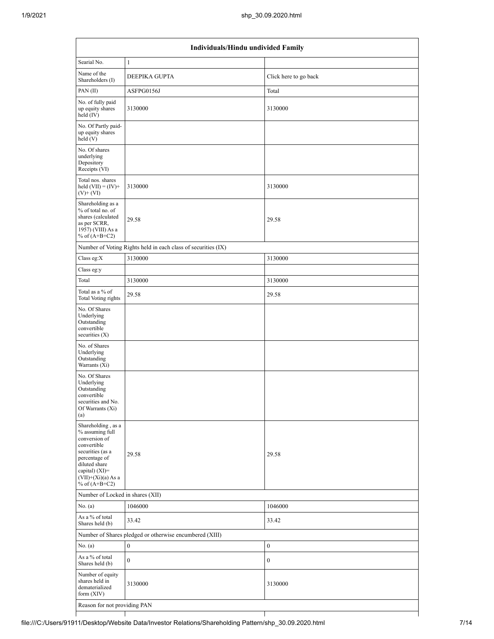| Individuals/Hindu undivided Family                                                                                                                                                         |                                                               |                       |  |  |  |  |  |
|--------------------------------------------------------------------------------------------------------------------------------------------------------------------------------------------|---------------------------------------------------------------|-----------------------|--|--|--|--|--|
| Searial No.                                                                                                                                                                                | $\mathbf{1}$                                                  |                       |  |  |  |  |  |
| Name of the<br>Shareholders (I)                                                                                                                                                            | DEEPIKA GUPTA                                                 | Click here to go back |  |  |  |  |  |
| PAN (II)                                                                                                                                                                                   | ASFPG0156J                                                    | Total                 |  |  |  |  |  |
| No. of fully paid<br>up equity shares<br>held $(IV)$                                                                                                                                       | 3130000                                                       | 3130000               |  |  |  |  |  |
| No. Of Partly paid-<br>up equity shares<br>held $(V)$                                                                                                                                      |                                                               |                       |  |  |  |  |  |
| No. Of shares<br>underlying<br>Depository<br>Receipts (VI)                                                                                                                                 |                                                               |                       |  |  |  |  |  |
| Total nos. shares<br>held $(VII) = (IV) +$<br>$(V)$ + $(VI)$                                                                                                                               | 3130000                                                       | 3130000               |  |  |  |  |  |
| Shareholding as a<br>% of total no. of<br>shares (calculated<br>as per SCRR,<br>1957) (VIII) As a<br>% of $(A+B+C2)$                                                                       | 29.58                                                         | 29.58                 |  |  |  |  |  |
|                                                                                                                                                                                            | Number of Voting Rights held in each class of securities (IX) |                       |  |  |  |  |  |
| Class eg: $X$                                                                                                                                                                              | 3130000                                                       | 3130000               |  |  |  |  |  |
| Class eg:y                                                                                                                                                                                 |                                                               |                       |  |  |  |  |  |
| Total<br>Total as a % of                                                                                                                                                                   | 3130000                                                       | 3130000               |  |  |  |  |  |
| Total Voting rights                                                                                                                                                                        | 29.58                                                         | 29.58                 |  |  |  |  |  |
| No. Of Shares<br>Underlying<br>Outstanding<br>convertible<br>securities $(X)$                                                                                                              |                                                               |                       |  |  |  |  |  |
| No. of Shares<br>Underlying<br>Outstanding<br>Warrants (Xi)                                                                                                                                |                                                               |                       |  |  |  |  |  |
| No. Of Shares<br>Underlying<br>Outstanding<br>convertible<br>securities and No.<br>Of Warrants (Xi)<br>(a)                                                                                 |                                                               |                       |  |  |  |  |  |
| Shareholding, as a<br>% assuming full<br>conversion of<br>convertible<br>securities (as a<br>percentage of<br>diluted share<br>capital) $(XI)=$<br>$(VII)+(Xi)(a) As a$<br>% of $(A+B+C2)$ | 29.58                                                         | 29.58                 |  |  |  |  |  |
| Number of Locked in shares (XII)                                                                                                                                                           |                                                               |                       |  |  |  |  |  |
| No. (a)                                                                                                                                                                                    | 1046000                                                       | 1046000               |  |  |  |  |  |
| As a % of total<br>Shares held (b)                                                                                                                                                         | 33.42                                                         | 33.42                 |  |  |  |  |  |
|                                                                                                                                                                                            | Number of Shares pledged or otherwise encumbered (XIII)       |                       |  |  |  |  |  |
| No. (a)                                                                                                                                                                                    | $\mathbf{0}$                                                  | $\boldsymbol{0}$      |  |  |  |  |  |
| As a % of total<br>Shares held (b)                                                                                                                                                         | $\boldsymbol{0}$                                              | $\boldsymbol{0}$      |  |  |  |  |  |
| Number of equity<br>shares held in<br>dematerialized<br>form $(XIV)$                                                                                                                       | 3130000                                                       | 3130000               |  |  |  |  |  |
| Reason for not providing PAN                                                                                                                                                               |                                                               |                       |  |  |  |  |  |
|                                                                                                                                                                                            |                                                               |                       |  |  |  |  |  |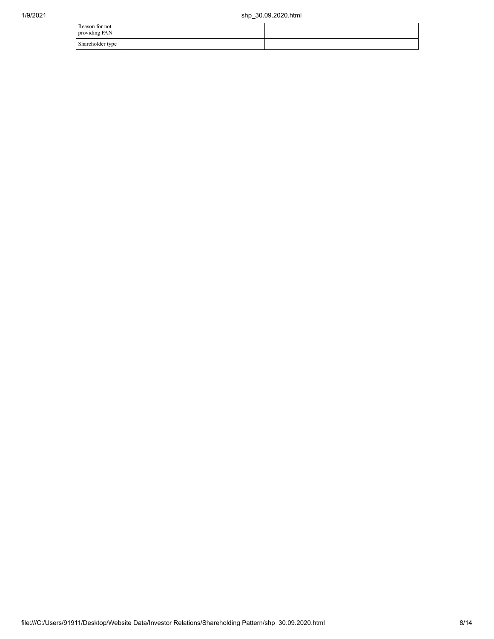| Reason for not<br>providing PAN |  |
|---------------------------------|--|
| Shareholder type                |  |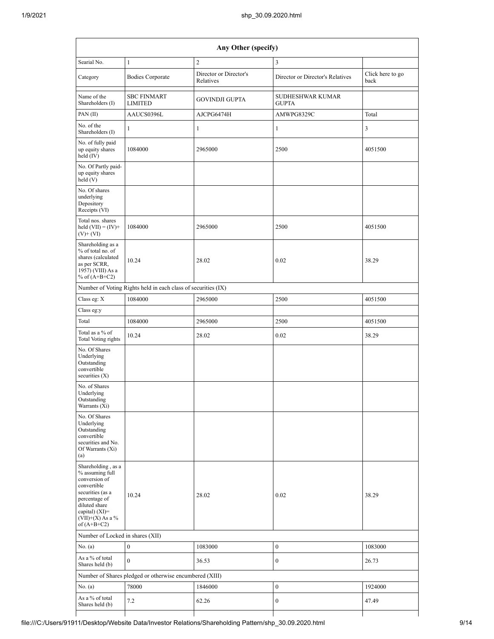| Any Other (specify)                                                                                                                                                                  |                                                               |                                     |                                  |                          |  |  |  |  |  |
|--------------------------------------------------------------------------------------------------------------------------------------------------------------------------------------|---------------------------------------------------------------|-------------------------------------|----------------------------------|--------------------------|--|--|--|--|--|
| Searial No.                                                                                                                                                                          | $\mathbf{1}$                                                  | $\mathbf{2}$                        | 3                                |                          |  |  |  |  |  |
| Category                                                                                                                                                                             | <b>Bodies Corporate</b>                                       | Director or Director's<br>Relatives | Director or Director's Relatives | Click here to go<br>back |  |  |  |  |  |
| Name of the<br>Shareholders (I)                                                                                                                                                      | <b>SBC FINMART</b><br><b>LIMITED</b>                          | <b>GOVINDJI GUPTA</b>               | SUDHESHWAR KUMAR<br><b>GUPTA</b> |                          |  |  |  |  |  |
| PAN (II)                                                                                                                                                                             | AAUCS0396L                                                    | AJCPG6474H                          | AMWPG8329C                       | Total                    |  |  |  |  |  |
| No. of the<br>Shareholders (I)                                                                                                                                                       | $\mathbf{1}$                                                  | $\mathbf{1}$                        | $\mathbf{1}$                     | $\mathfrak{Z}$           |  |  |  |  |  |
| No. of fully paid<br>up equity shares<br>held (IV)                                                                                                                                   | 1084000                                                       | 2965000                             | 2500                             | 4051500                  |  |  |  |  |  |
| No. Of Partly paid-<br>up equity shares<br>held (V)                                                                                                                                  |                                                               |                                     |                                  |                          |  |  |  |  |  |
| No. Of shares<br>underlying<br>Depository<br>Receipts (VI)                                                                                                                           |                                                               |                                     |                                  |                          |  |  |  |  |  |
| Total nos. shares<br>held $(VII) = (IV) +$<br>$(V)$ + $(VI)$                                                                                                                         | 1084000                                                       | 2965000                             | 2500                             | 4051500                  |  |  |  |  |  |
| Shareholding as a<br>% of total no. of<br>shares (calculated<br>as per SCRR,<br>1957) (VIII) As a<br>% of $(A+B+C2)$                                                                 | 10.24                                                         | 28.02                               | 0.02                             | 38.29                    |  |  |  |  |  |
|                                                                                                                                                                                      | Number of Voting Rights held in each class of securities (IX) |                                     |                                  |                          |  |  |  |  |  |
| Class eg: X                                                                                                                                                                          | 1084000                                                       | 2965000                             | 2500                             | 4051500                  |  |  |  |  |  |
| Class eg:y                                                                                                                                                                           |                                                               |                                     |                                  |                          |  |  |  |  |  |
| Total                                                                                                                                                                                | 1084000                                                       | 2965000                             | 2500                             | 4051500                  |  |  |  |  |  |
| Total as a % of<br>Total Voting rights                                                                                                                                               | 10.24                                                         | 28.02                               | 0.02                             | 38.29                    |  |  |  |  |  |
| No. Of Shares<br>Underlying<br>Outstanding<br>convertible<br>securities $(X)$                                                                                                        |                                                               |                                     |                                  |                          |  |  |  |  |  |
| No. of Shares<br>Underlying<br>Outstanding<br>Warrants (Xi)                                                                                                                          |                                                               |                                     |                                  |                          |  |  |  |  |  |
| No. Of Shares<br>Underlying<br>Outstanding<br>convertible<br>securities and No.<br>Of Warrants (Xi)<br>(a)                                                                           |                                                               |                                     |                                  |                          |  |  |  |  |  |
| Shareholding, as a<br>% assuming full<br>conversion of<br>convertible<br>securities (as a<br>percentage of<br>diluted share<br>capital) (XI)=<br>$(VII)+(X)$ As a %<br>of $(A+B+C2)$ | 10.24                                                         | 28.02                               | 0.02                             | 38.29                    |  |  |  |  |  |
| Number of Locked in shares (XII)                                                                                                                                                     |                                                               |                                     |                                  |                          |  |  |  |  |  |
| No. (a)                                                                                                                                                                              | $\boldsymbol{0}$                                              | 1083000                             | $\boldsymbol{0}$                 | 1083000                  |  |  |  |  |  |
| As a % of total<br>Shares held (b)                                                                                                                                                   | $\overline{0}$                                                | 36.53                               | $\boldsymbol{0}$                 | 26.73                    |  |  |  |  |  |
|                                                                                                                                                                                      | Number of Shares pledged or otherwise encumbered (XIII)       |                                     |                                  |                          |  |  |  |  |  |
| No. (a)                                                                                                                                                                              | 78000                                                         | 1846000                             | $\boldsymbol{0}$                 | 1924000                  |  |  |  |  |  |
| As a % of total<br>Shares held (b)                                                                                                                                                   | 7.2                                                           | 62.26                               | $\boldsymbol{0}$                 | 47.49                    |  |  |  |  |  |
|                                                                                                                                                                                      |                                                               |                                     |                                  |                          |  |  |  |  |  |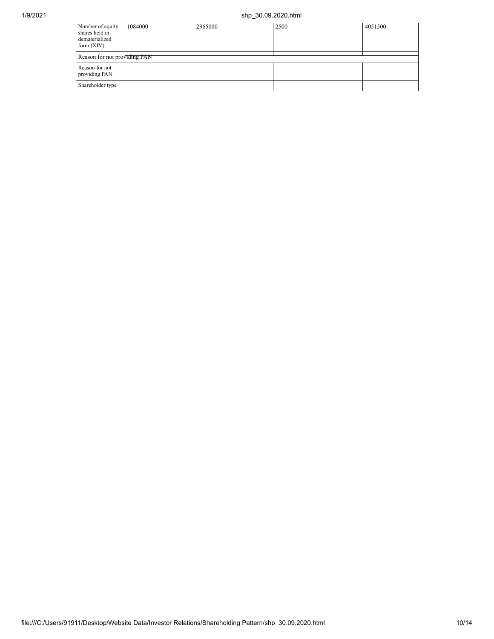## 1/9/2021 shp\_30.09.2020.html

| Number of equity<br>shares held in<br>dematerialized<br>form $(XIV)$ | 1084000                      | 2965000 | 2500 | 4051500 |  |  |  |  |  |  |
|----------------------------------------------------------------------|------------------------------|---------|------|---------|--|--|--|--|--|--|
|                                                                      | Reason for not providing PAN |         |      |         |  |  |  |  |  |  |
| Reason for not<br>providing PAN                                      |                              |         |      |         |  |  |  |  |  |  |
| Shareholder type                                                     |                              |         |      |         |  |  |  |  |  |  |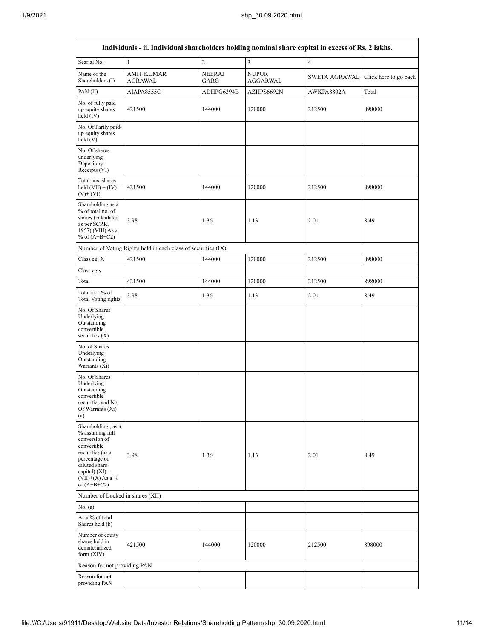$\overline{\phantom{a}}$ 

|                                                                                                                                                                                      | Individuals - ii. Individual shareholders holding nominal share capital in excess of Rs. 2 lakhs. |                       |                                 |                |                       |  |  |  |  |
|--------------------------------------------------------------------------------------------------------------------------------------------------------------------------------------|---------------------------------------------------------------------------------------------------|-----------------------|---------------------------------|----------------|-----------------------|--|--|--|--|
| Searial No.                                                                                                                                                                          | $\mathbf{1}$                                                                                      | $\sqrt{2}$            | $\mathfrak{Z}$                  | $\overline{4}$ |                       |  |  |  |  |
| Name of the<br>Shareholders (I)                                                                                                                                                      | <b>AMIT KUMAR</b><br><b>AGRAWAL</b>                                                               | <b>NEERAJ</b><br>GARG | <b>NUPUR</b><br><b>AGGARWAL</b> | SWETA AGRAWAL  | Click here to go back |  |  |  |  |
| PAN (II)                                                                                                                                                                             | AIAPA8555C                                                                                        | ADHPG6394B            | AZHPS6692N                      | AWKPA8802A     | Total                 |  |  |  |  |
| No. of fully paid<br>up equity shares<br>held $(IV)$                                                                                                                                 | 421500                                                                                            | 144000                | 120000                          | 212500         | 898000                |  |  |  |  |
| No. Of Partly paid-<br>up equity shares<br>held(V)                                                                                                                                   |                                                                                                   |                       |                                 |                |                       |  |  |  |  |
| No. Of shares<br>underlying<br>Depository<br>Receipts (VI)                                                                                                                           |                                                                                                   |                       |                                 |                |                       |  |  |  |  |
| Total nos. shares<br>held $(VII) = (IV) +$<br>$(V)$ + $(VI)$                                                                                                                         | 421500                                                                                            | 144000                | 120000                          | 212500         | 898000                |  |  |  |  |
| Shareholding as a<br>% of total no. of<br>shares (calculated<br>as per SCRR,<br>1957) (VIII) As a<br>% of $(A+B+C2)$                                                                 | 3.98                                                                                              | 1.36                  | 1.13                            | 2.01           | 8.49                  |  |  |  |  |
|                                                                                                                                                                                      | Number of Voting Rights held in each class of securities (IX)                                     |                       |                                 |                |                       |  |  |  |  |
| Class eg: X                                                                                                                                                                          | 421500                                                                                            | 144000                | 120000                          | 212500         | 898000                |  |  |  |  |
| Class eg:y                                                                                                                                                                           |                                                                                                   |                       |                                 |                |                       |  |  |  |  |
| Total                                                                                                                                                                                | 421500                                                                                            | 144000                | 120000                          | 212500         | 898000                |  |  |  |  |
| Total as a % of<br><b>Total Voting rights</b>                                                                                                                                        | 3.98                                                                                              | 1.36                  | 1.13                            | 2.01           | 8.49                  |  |  |  |  |
| No. Of Shares<br>Underlying<br>Outstanding<br>convertible<br>securities $(X)$                                                                                                        |                                                                                                   |                       |                                 |                |                       |  |  |  |  |
| No. of Shares<br>Underlying<br>Outstanding<br>Warrants (Xi)                                                                                                                          |                                                                                                   |                       |                                 |                |                       |  |  |  |  |
| No. Of Shares<br>Underlying<br>Outstanding<br>convertible<br>securities and No.<br>Of Warrants (Xi)<br>(a)                                                                           |                                                                                                   |                       |                                 |                |                       |  |  |  |  |
| Shareholding, as a<br>% assuming full<br>conversion of<br>convertible<br>securities (as a<br>percentage of<br>diluted share<br>capital) (XI)=<br>$(VII)+(X)$ As a %<br>of $(A+B+C2)$ | 3.98                                                                                              | 1.36                  | 1.13                            | 2.01           | 8.49                  |  |  |  |  |
| Number of Locked in shares (XII)                                                                                                                                                     |                                                                                                   |                       |                                 |                |                       |  |  |  |  |
| No. (a)                                                                                                                                                                              |                                                                                                   |                       |                                 |                |                       |  |  |  |  |
| As a % of total<br>Shares held (b)                                                                                                                                                   |                                                                                                   |                       |                                 |                |                       |  |  |  |  |
| Number of equity<br>shares held in<br>dematerialized<br>form $(XIV)$                                                                                                                 | 421500                                                                                            | 144000                | 120000                          | 212500         | 898000                |  |  |  |  |
| Reason for not providing PAN                                                                                                                                                         |                                                                                                   |                       |                                 |                |                       |  |  |  |  |
| Reason for not<br>providing PAN                                                                                                                                                      |                                                                                                   |                       |                                 |                |                       |  |  |  |  |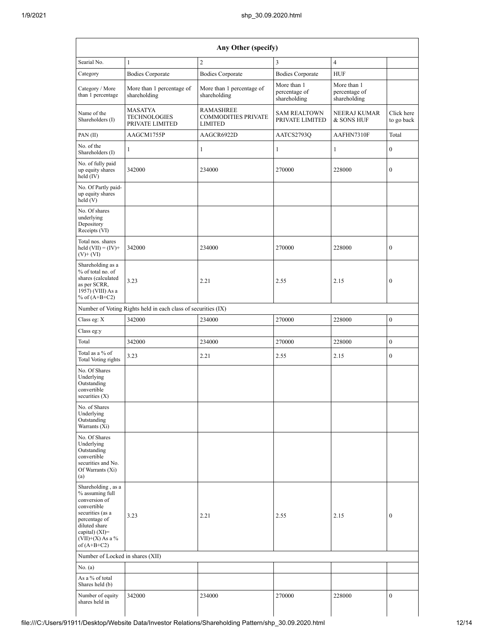| Any Other (specify)                                                                                                                                                                  |                                                               |                                                                  |                                              |                                              |                          |  |  |  |  |
|--------------------------------------------------------------------------------------------------------------------------------------------------------------------------------------|---------------------------------------------------------------|------------------------------------------------------------------|----------------------------------------------|----------------------------------------------|--------------------------|--|--|--|--|
| Searial No.                                                                                                                                                                          | $\mathbf{1}$                                                  | $\overline{2}$                                                   | $\overline{3}$                               | $\overline{4}$                               |                          |  |  |  |  |
| Category                                                                                                                                                                             | <b>Bodies Corporate</b>                                       | <b>Bodies Corporate</b>                                          | <b>Bodies Corporate</b>                      | <b>HUF</b>                                   |                          |  |  |  |  |
| Category / More<br>than 1 percentage                                                                                                                                                 | More than 1 percentage of<br>shareholding                     | More than 1 percentage of<br>shareholding                        | More than 1<br>percentage of<br>shareholding | More than 1<br>percentage of<br>shareholding |                          |  |  |  |  |
| Name of the<br>Shareholders (I)                                                                                                                                                      | <b>MASATYA</b><br><b>TECHNOLOGIES</b><br>PRIVATE LIMITED      | <b>RAMASHREE</b><br><b>COMMODITIES PRIVATE</b><br><b>LIMITED</b> | <b>SAM REALTOWN</b><br>PRIVATE LIMITED       | NEERAJ KUMAR<br>& SONS HUF                   | Click here<br>to go back |  |  |  |  |
| PAN (II)                                                                                                                                                                             | AAGCM1755P                                                    | AAGCR6922D                                                       | AATCS2793Q                                   | AAFHN7310F                                   | Total                    |  |  |  |  |
| No. of the<br>Shareholders (I)                                                                                                                                                       | 1                                                             | 1                                                                | 1                                            | 1                                            | 0                        |  |  |  |  |
| No. of fully paid<br>up equity shares<br>held $(IV)$                                                                                                                                 | 342000                                                        | 234000                                                           | 270000                                       | 228000                                       | 0                        |  |  |  |  |
| No. Of Partly paid-<br>up equity shares<br>held(V)                                                                                                                                   |                                                               |                                                                  |                                              |                                              |                          |  |  |  |  |
| No. Of shares<br>underlying<br>Depository<br>Receipts (VI)                                                                                                                           |                                                               |                                                                  |                                              |                                              |                          |  |  |  |  |
| Total nos. shares<br>held $(VII) = (IV) +$<br>$(V)$ + $(VI)$                                                                                                                         | 342000                                                        | 234000                                                           | 270000                                       | 228000                                       | $\mathbf{0}$             |  |  |  |  |
| Shareholding as a<br>% of total no. of<br>shares (calculated<br>as per SCRR,<br>1957) (VIII) As a<br>% of $(A+B+C2)$                                                                 | 3.23                                                          | 2.21                                                             | 2.55                                         | 2.15                                         | 0                        |  |  |  |  |
|                                                                                                                                                                                      | Number of Voting Rights held in each class of securities (IX) |                                                                  |                                              |                                              |                          |  |  |  |  |
| Class eg: X                                                                                                                                                                          | 342000                                                        | 234000                                                           | 270000                                       | 228000                                       | $\boldsymbol{0}$         |  |  |  |  |
| Class eg:y                                                                                                                                                                           |                                                               |                                                                  |                                              |                                              |                          |  |  |  |  |
| Total                                                                                                                                                                                | 342000                                                        | 234000                                                           | 270000                                       | 228000                                       | $\overline{0}$           |  |  |  |  |
| Total as a % of<br><b>Total Voting rights</b>                                                                                                                                        | 3.23                                                          | 2.21                                                             | 2.55                                         | 2.15                                         | $\boldsymbol{0}$         |  |  |  |  |
| No. Of Shares<br>Underlying<br>Outstanding<br>convertible<br>securities $(X)$                                                                                                        |                                                               |                                                                  |                                              |                                              |                          |  |  |  |  |
| No. of Shares<br>Underlying<br>Outstanding<br>Warrants (Xi)                                                                                                                          |                                                               |                                                                  |                                              |                                              |                          |  |  |  |  |
| No. Of Shares<br>Underlying<br>Outstanding<br>convertible<br>securities and No.<br>Of Warrants (Xi)<br>(a)                                                                           |                                                               |                                                                  |                                              |                                              |                          |  |  |  |  |
| Shareholding, as a<br>% assuming full<br>conversion of<br>convertible<br>securities (as a<br>percentage of<br>diluted share<br>capital) (XI)=<br>$(VII)+(X)$ As a %<br>of $(A+B+C2)$ | 3.23                                                          | 2.21                                                             | 2.55                                         | 2.15                                         | $\boldsymbol{0}$         |  |  |  |  |
| Number of Locked in shares (XII)                                                                                                                                                     |                                                               |                                                                  |                                              |                                              |                          |  |  |  |  |
| No. $(a)$                                                                                                                                                                            |                                                               |                                                                  |                                              |                                              |                          |  |  |  |  |
| As a % of total<br>Shares held (b)                                                                                                                                                   |                                                               |                                                                  |                                              |                                              |                          |  |  |  |  |
| Number of equity<br>shares held in                                                                                                                                                   | 342000                                                        | 234000                                                           | 270000                                       | 228000                                       | $\overline{0}$           |  |  |  |  |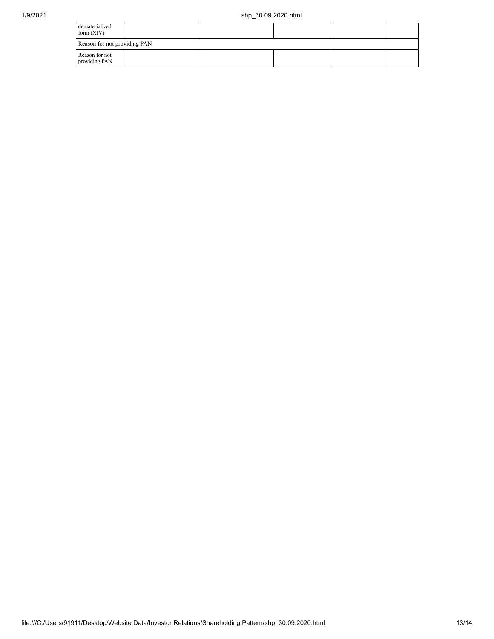| dematerialized<br>form $(XIV)$  |  |  |  |  |  |  |  |  |  |
|---------------------------------|--|--|--|--|--|--|--|--|--|
| Reason for not providing PAN    |  |  |  |  |  |  |  |  |  |
| Reason for not<br>providing PAN |  |  |  |  |  |  |  |  |  |